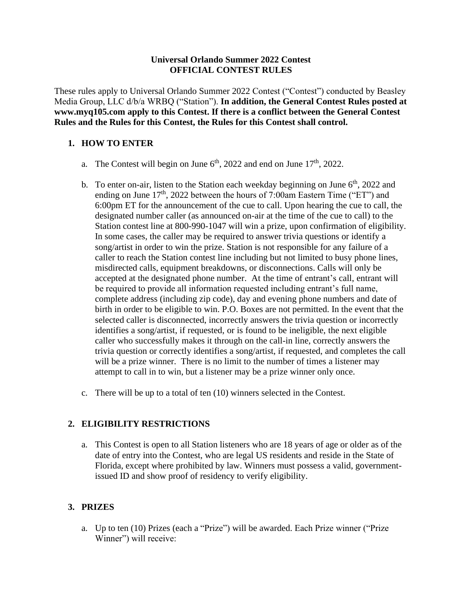#### **Universal Orlando Summer 2022 Contest OFFICIAL CONTEST RULES**

These rules apply to Universal Orlando Summer 2022 Contest ("Contest") conducted by Beasley Media Group, LLC d/b/a WRBQ ("Station"). **In addition, the General Contest Rules posted at [www.myq105.com a](http://www.myq105.com/)pply to this Contest. If there is a conflict between the General Contest Rules and the Rules for this Contest, the Rules for this Contest shall control.**

# **1. HOW TO ENTER**

- a. The Contest will begin on June  $6<sup>th</sup>$ , 2022 and end on June  $17<sup>th</sup>$ , 2022.
- b. To enter on-air, listen to the Station each weekday beginning on June  $6<sup>th</sup>$ , 2022 and ending on June  $17<sup>th</sup>$ , 2022 between the hours of 7:00am Eastern Time ("ET") and 6:00pm ET for the announcement of the cue to call. Upon hearing the cue to call, the designated number caller (as announced on-air at the time of the cue to call) to the Station contest line at 800-990-1047 will win a prize, upon confirmation of eligibility. In some cases, the caller may be required to answer trivia questions or identify a song/artist in order to win the prize. Station is not responsible for any failure of a caller to reach the Station contest line including but not limited to busy phone lines, misdirected calls, equipment breakdowns, or disconnections. Calls will only be accepted at the designated phone number. At the time of entrant's call, entrant will be required to provide all information requested including entrant's full name, complete address (including zip code), day and evening phone numbers and date of birth in order to be eligible to win. P.O. Boxes are not permitted. In the event that the selected caller is disconnected, incorrectly answers the trivia question or incorrectly identifies a song/artist, if requested, or is found to be ineligible, the next eligible caller who successfully makes it through on the call-in line, correctly answers the trivia question or correctly identifies a song/artist, if requested, and completes the call will be a prize winner. There is no limit to the number of times a listener may attempt to call in to win, but a listener may be a prize winner only once.
- c. There will be up to a total of ten (10) winners selected in the Contest.

## **2. ELIGIBILITY RESTRICTIONS**

a. This Contest is open to all Station listeners who are 18 years of age or older as of the date of entry into the Contest, who are legal US residents and reside in the State of Florida, except where prohibited by law. Winners must possess a valid, governmentissued ID and show proof of residency to verify eligibility.

## **3. PRIZES**

a. Up to ten (10) Prizes (each a "Prize") will be awarded. Each Prize winner ("Prize Winner") will receive: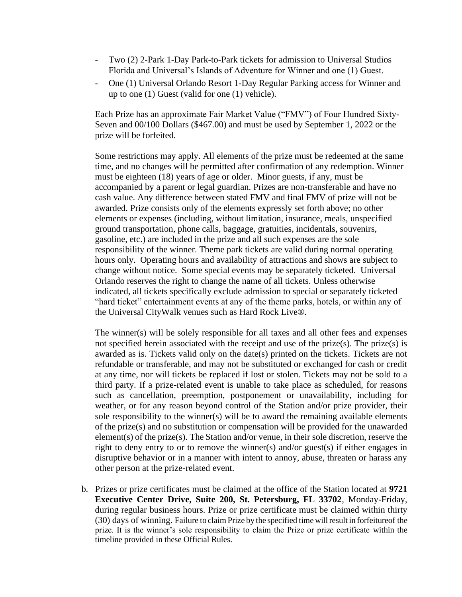- Two (2) 2-Park 1-Day Park-to-Park tickets for admission to Universal Studios Florida and Universal's Islands of Adventure for Winner and one (1) Guest.
- One (1) Universal Orlando Resort 1-Day Regular Parking access for Winner and up to one (1) Guest (valid for one (1) vehicle).

Each Prize has an approximate Fair Market Value ("FMV") of Four Hundred Sixty-Seven and 00/100 Dollars (\$467.00) and must be used by September 1, 2022 or the prize will be forfeited.

Some restrictions may apply. All elements of the prize must be redeemed at the same time, and no changes will be permitted after confirmation of any redemption. Winner must be eighteen (18) years of age or older. Minor guests, if any, must be accompanied by a parent or legal guardian. Prizes are non-transferable and have no cash value. Any difference between stated FMV and final FMV of prize will not be awarded. Prize consists only of the elements expressly set forth above; no other elements or expenses (including, without limitation, insurance, meals, unspecified ground transportation, phone calls, baggage, gratuities, incidentals, souvenirs, gasoline, etc.) are included in the prize and all such expenses are the sole responsibility of the winner. Theme park tickets are valid during normal operating hours only. Operating hours and availability of attractions and shows are subject to change without notice. Some special events may be separately ticketed. Universal Orlando reserves the right to change the name of all tickets. Unless otherwise indicated, all tickets specifically exclude admission to special or separately ticketed "hard ticket" entertainment events at any of the theme parks, hotels, or within any of the Universal CityWalk venues such as Hard Rock Live®.

The winner(s) will be solely responsible for all taxes and all other fees and expenses not specified herein associated with the receipt and use of the prize(s). The prize(s) is awarded as is. Tickets valid only on the date(s) printed on the tickets. Tickets are not refundable or transferable, and may not be substituted or exchanged for cash or credit at any time, nor will tickets be replaced if lost or stolen. Tickets may not be sold to a third party. If a prize-related event is unable to take place as scheduled, for reasons such as cancellation, preemption, postponement or unavailability, including for weather, or for any reason beyond control of the Station and/or prize provider, their sole responsibility to the winner(s) will be to award the remaining available elements of the prize(s) and no substitution or compensation will be provided for the unawarded element(s) of the prize(s). The Station and/or venue, in their sole discretion, reserve the right to deny entry to or to remove the winner(s) and/or guest(s) if either engages in disruptive behavior or in a manner with intent to annoy, abuse, threaten or harass any other person at the prize-related event.

b. Prizes or prize certificates must be claimed at the office of the Station located at **9721 Executive Center Drive, Suite 200, St. Petersburg, FL 33702**, Monday-Friday, during regular business hours. Prize or prize certificate must be claimed within thirty (30) days of winning. Failure to claim Prize by the specified time willresult in forfeitureof the prize. It is the winner's sole responsibility to claim the Prize or prize certificate within the timeline provided in these Official Rules.